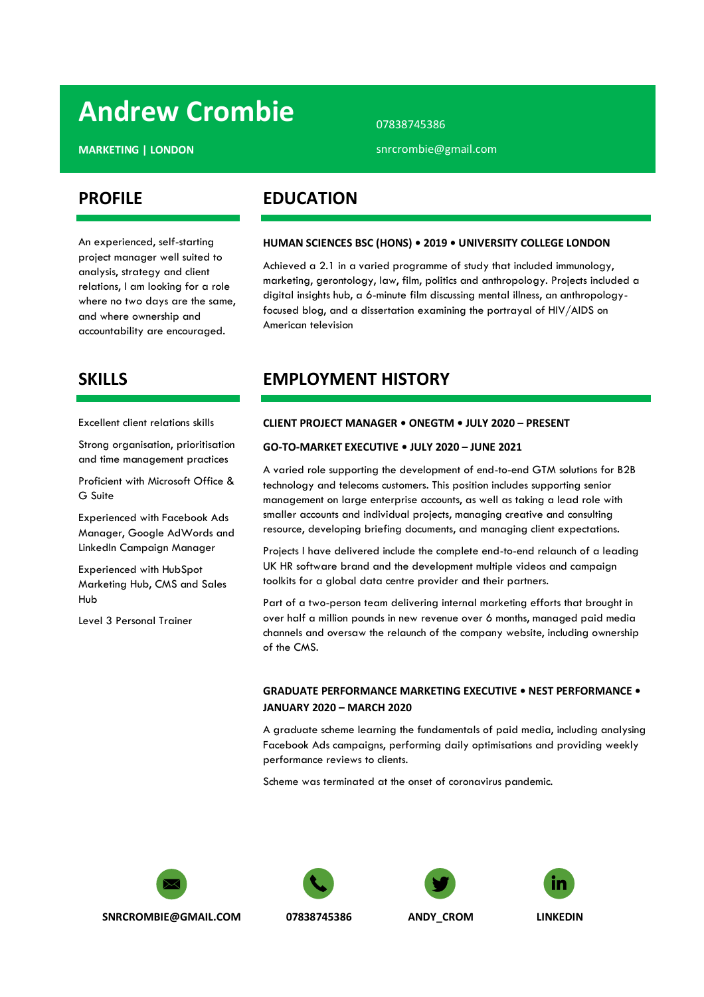# **Andrew Crombie**

**MARKETING | LONDON**

An experienced, self-starting project manager well suited to analysis, strategy and client relations, I am looking for a role where no two days are the same, and where ownership and accountability are encouraged.

**PROFILE**

## **EDUCATION**

#### **HUMAN SCIENCES BSC (HONS) • 2019 • UNIVERSITY COLLEGE LONDON**

snrcrombie@gmail.com

07838745386

Achieved a 2.1 in a varied programme of study that included immunology, marketing, gerontology, law, film, politics and anthropology. Projects included a digital insights hub, a 6-minute film discussing mental illness, an anthropologyfocused blog, and a dissertation examining the portrayal of HIV/AIDS on American television

### **SKILLS**

Excellent client relations skills

Strong organisation, prioritisation and time management practices

Proficient with Microsoft Office & G Suite

Experienced with Facebook Ads Manager, Google AdWords and LinkedIn Campaign Manager

Experienced with HubSpot Marketing Hub, CMS and Sales Hub

Level 3 Personal Trainer

## **EMPLOYMENT HISTORY**

#### **CLIENT PROJECT MANAGER • ONEGTM • JULY 2020 – PRESENT**

#### **GO-TO-MARKET EXECUTIVE • JULY 2020 – JUNE 2021**

A varied role supporting the development of end-to-end GTM solutions for B2B technology and telecoms customers. This position includes supporting senior management on large enterprise accounts, as well as taking a lead role with smaller accounts and individual projects, managing creative and consulting resource, developing briefing documents, and managing client expectations.

Projects I have delivered include the complete end-to-end relaunch of a leading UK HR software brand and the development multiple videos and campaign toolkits for a global data centre provider and their partners.

Part of a two-person team delivering internal marketing efforts that brought in over half a million pounds in new revenue over 6 months, managed paid media channels and oversaw the relaunch of the company website, including ownership of the CMS.

#### **GRADUATE PERFORMANCE MARKETING EXECUTIVE • NEST PERFORMANCE • JANUARY 2020 – MARCH 2020**

A graduate scheme learning the fundamentals of paid media, including analysing Facebook Ads campaigns, performing daily optimisations and providing weekly performance reviews to clients.

Scheme was terminated at the onset of coronavirus pandemic.









**SNRCROMBIE@GMAIL.COM 07838745386 ANDY\_CROM [LINKEDIN](https://www.linkedin.com/in/andrew-crombie/)**